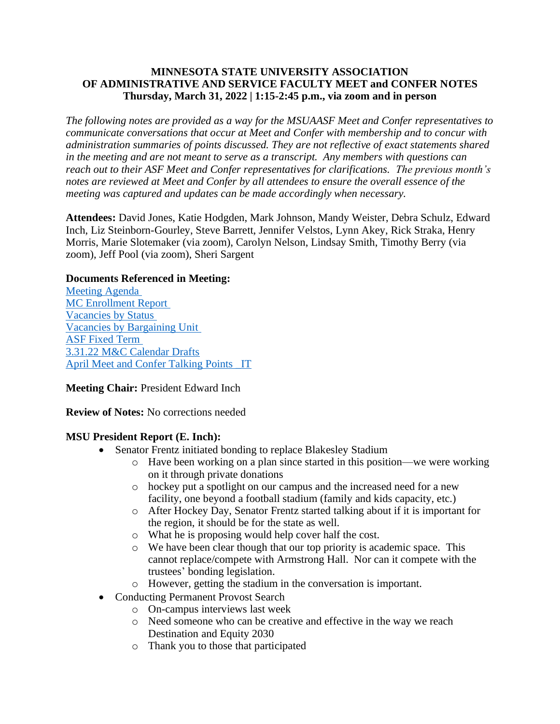#### **MINNESOTA STATE UNIVERSITY ASSOCIATION OF ADMINISTRATIVE AND SERVICE FACULTY MEET and CONFER NOTES Thursday, March 31, 2022 | 1:15-2:45 p.m., via zoom and in person**

*The following notes are provided as a way for the MSUAASF Meet and Confer representatives to communicate conversations that occur at Meet and Confer with membership and to concur with administration summaries of points discussed. They are not reflective of exact statements shared in the meeting and are not meant to serve as a transcript. Any members with questions can reach out to their ASF Meet and Confer representatives for clarifications. The previous month's notes are reviewed at Meet and Confer by all attendees to ensure the overall essence of the meeting was captured and updates can be made accordingly when necessary.*

**Attendees:** David Jones, Katie Hodgden, Mark Johnson, Mandy Weister, Debra Schulz, Edward Inch, Liz Steinborn-Gourley, Steve Barrett, Jennifer Velstos, Lynn Akey, Rick Straka, Henry Morris, Marie Slotemaker (via zoom), Carolyn Nelson, Lindsay Smith, Timothy Berry (via zoom), Jeff Pool (via zoom), Sheri Sargent

#### **Documents Referenced in Meeting:**

[Meeting Agenda](https://mnscu-my.sharepoint.com/:w:/g/personal/dy6217wl_minnstate_edu/ESdWzmEps7dAssH71OoHFXgBQxIQUCQzGjflUKRZRcZHCA?e=AtPRgg) [MC Enrollment Report](https://mnscu-my.sharepoint.com/:b:/g/personal/dy6217wl_minnstate_edu/ETct7NLIjstCvg0bna7ORM0Bp7nChMay2x6n6Rh-kobdOA?e=4VNm36) [Vacancies by Status](https://mnscu-my.sharepoint.com/:b:/g/personal/dy6217wl_minnstate_edu/EUTpj9xnTrNKjKj5ThEtboIBZSkBnf2URVoGLvjxuZL_Ww?e=Rykh6v) [Vacancies by Bargaining Unit](https://mnscu-my.sharepoint.com/:b:/g/personal/dy6217wl_minnstate_edu/ER92kloRotpGl2j6Uj4HsIcBOx2SYbLsHgbUWqYWsw7_mQ?e=dtZGAG) [ASF Fixed Term](https://mnscu-my.sharepoint.com/:b:/g/personal/dy6217wl_minnstate_edu/EeDzlnnILExDhQ5e4eUyvD0BZgBMMuJmnWo9ytpKKQbflA?e=GOvsPk) [3.31.22 M&C Calendar Drafts](https://mnscu-my.sharepoint.com/:u:/g/personal/dy6217wl_minnstate_edu/EYT9t7Hk_ThFhpEcvi8I9HkBtuyvMoj-o_759csAy0knKg?e=jYOVcG) [April Meet and Confer Talking Points \\_IT](https://mnscu-my.sharepoint.com/:b:/g/personal/dy6217wl_minnstate_edu/EcVr9NJzv61EiS4biKIO4GgBe7qNiBtQfYmGqWVzy2tMDw?e=FlXzlf)

### **Meeting Chair:** President Edward Inch

**Review of Notes:** No corrections needed

#### **MSU President Report (E. Inch):**

- Senator Frentz initiated bonding to replace Blakesley Stadium
	- o Have been working on a plan since started in this position—we were working on it through private donations
	- o hockey put a spotlight on our campus and the increased need for a new facility, one beyond a football stadium (family and kids capacity, etc.)
	- o After Hockey Day, Senator Frentz started talking about if it is important for the region, it should be for the state as well.
	- o What he is proposing would help cover half the cost.
	- o We have been clear though that our top priority is academic space. This cannot replace/compete with Armstrong Hall. Nor can it compete with the trustees' bonding legislation.
	- o However, getting the stadium in the conversation is important.
- Conducting Permanent Provost Search
	- o On-campus interviews last week
	- o Need someone who can be creative and effective in the way we reach Destination and Equity 2030
	- o Thank you to those that participated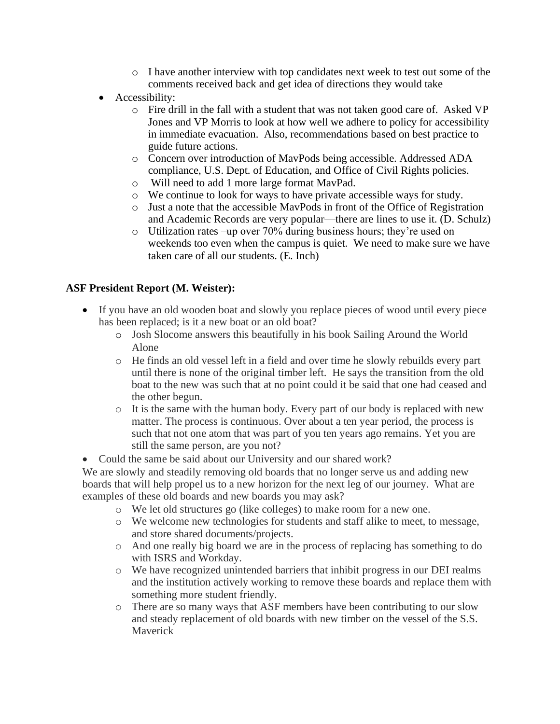- o I have another interview with top candidates next week to test out some of the comments received back and get idea of directions they would take
- Accessibility:
	- $\circ$  Fire drill in the fall with a student that was not taken good care of. Asked VP Jones and VP Morris to look at how well we adhere to policy for accessibility in immediate evacuation. Also, recommendations based on best practice to guide future actions.
	- o Concern over introduction of MavPods being accessible. Addressed ADA compliance, U.S. Dept. of Education, and Office of Civil Rights policies.
	- o Will need to add 1 more large format MavPad.
	- o We continue to look for ways to have private accessible ways for study.
	- o Just a note that the accessible MavPods in front of the Office of Registration and Academic Records are very popular—there are lines to use it. (D. Schulz)
	- o Utilization rates –up over 70% during business hours; they're used on weekends too even when the campus is quiet. We need to make sure we have taken care of all our students. (E. Inch)

### **ASF President Report (M. Weister):**

- If you have an old wooden boat and slowly you replace pieces of wood until every piece has been replaced; is it a new boat or an old boat?
	- o Josh Slocome answers this beautifully in his book Sailing Around the World Alone
	- o He finds an old vessel left in a field and over time he slowly rebuilds every part until there is none of the original timber left. He says the transition from the old boat to the new was such that at no point could it be said that one had ceased and the other begun.
	- o It is the same with the human body. Every part of our body is replaced with new matter. The process is continuous. Over about a ten year period, the process is such that not one atom that was part of you ten years ago remains. Yet you are still the same person, are you not?
- Could the same be said about our University and our shared work?

We are slowly and steadily removing old boards that no longer serve us and adding new boards that will help propel us to a new horizon for the next leg of our journey. What are examples of these old boards and new boards you may ask?

- o We let old structures go (like colleges) to make room for a new one.
- o We welcome new technologies for students and staff alike to meet, to message, and store shared documents/projects.
- o And one really big board we are in the process of replacing has something to do with ISRS and Workday.
- o We have recognized unintended barriers that inhibit progress in our DEI realms and the institution actively working to remove these boards and replace them with something more student friendly.
- o There are so many ways that ASF members have been contributing to our slow and steady replacement of old boards with new timber on the vessel of the S.S. Maverick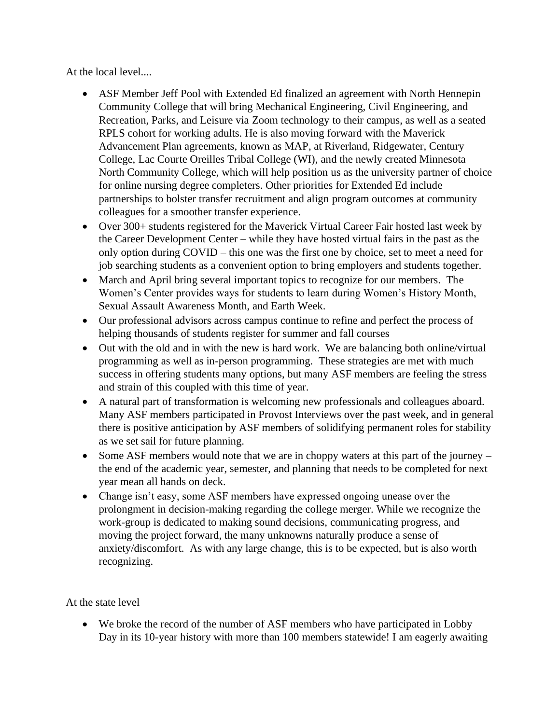At the local level....

- ASF Member Jeff Pool with Extended Ed finalized an agreement with North Hennepin Community College that will bring Mechanical Engineering, Civil Engineering, and Recreation, Parks, and Leisure via Zoom technology to their campus, as well as a seated RPLS cohort for working adults. He is also moving forward with the Maverick Advancement Plan agreements, known as MAP, at Riverland, Ridgewater, Century College, Lac Courte Oreilles Tribal College (WI), and the newly created Minnesota North Community College, which will help position us as the university partner of choice for online nursing degree completers. Other priorities for Extended Ed include partnerships to bolster transfer recruitment and align program outcomes at community colleagues for a smoother transfer experience.
- Over 300+ students registered for the Maverick Virtual Career Fair hosted last week by the Career Development Center – while they have hosted virtual fairs in the past as the only option during COVID – this one was the first one by choice, set to meet a need for job searching students as a convenient option to bring employers and students together.
- March and April bring several important topics to recognize for our members. The Women's Center provides ways for students to learn during Women's History Month, Sexual Assault Awareness Month, and Earth Week.
- Our professional advisors across campus continue to refine and perfect the process of helping thousands of students register for summer and fall courses
- Out with the old and in with the new is hard work. We are balancing both online/virtual programming as well as in-person programming. These strategies are met with much success in offering students many options, but many ASF members are feeling the stress and strain of this coupled with this time of year.
- A natural part of transformation is welcoming new professionals and colleagues aboard. Many ASF members participated in Provost Interviews over the past week, and in general there is positive anticipation by ASF members of solidifying permanent roles for stability as we set sail for future planning.
- Some ASF members would note that we are in choppy waters at this part of the journey the end of the academic year, semester, and planning that needs to be completed for next year mean all hands on deck.
- Change isn't easy, some ASF members have expressed ongoing unease over the prolongment in decision-making regarding the college merger. While we recognize the work-group is dedicated to making sound decisions, communicating progress, and moving the project forward, the many unknowns naturally produce a sense of anxiety/discomfort. As with any large change, this is to be expected, but is also worth recognizing.

At the state level

• We broke the record of the number of ASF members who have participated in Lobby Day in its 10-year history with more than 100 members statewide! I am eagerly awaiting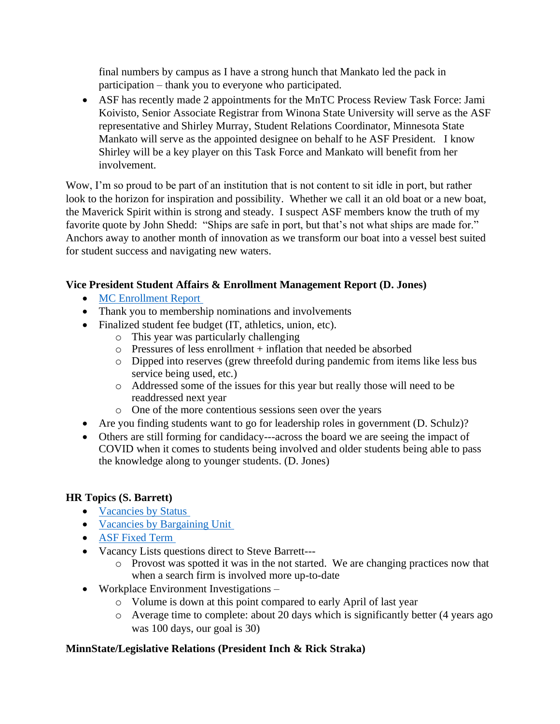final numbers by campus as I have a strong hunch that Mankato led the pack in participation – thank you to everyone who participated.

• ASF has recently made 2 appointments for the MnTC Process Review Task Force: Jami Koivisto, Senior Associate Registrar from Winona State University will serve as the ASF representative and Shirley Murray, Student Relations Coordinator, Minnesota State Mankato will serve as the appointed designee on behalf to he ASF President. I know Shirley will be a key player on this Task Force and Mankato will benefit from her involvement.

Wow, I'm so proud to be part of an institution that is not content to sit idle in port, but rather look to the horizon for inspiration and possibility. Whether we call it an old boat or a new boat, the Maverick Spirit within is strong and steady. I suspect ASF members know the truth of my favorite quote by John Shedd: "Ships are safe in port, but that's not what ships are made for." Anchors away to another month of innovation as we transform our boat into a vessel best suited for student success and navigating new waters.

## **Vice President Student Affairs & Enrollment Management Report (D. Jones)**

- [MC Enrollment Report](https://mnscu-my.sharepoint.com/:b:/g/personal/dy6217wl_minnstate_edu/ETct7NLIjstCvg0bna7ORM0Bp7nChMay2x6n6Rh-kobdOA?e=4VNm36)
- Thank you to membership nominations and involvements
- Finalized student fee budget (IT, athletics, union, etc).
	- o This year was particularly challenging
	- o Pressures of less enrollment + inflation that needed be absorbed
	- o Dipped into reserves (grew threefold during pandemic from items like less bus service being used, etc.)
	- o Addressed some of the issues for this year but really those will need to be readdressed next year
	- o One of the more contentious sessions seen over the years
- Are you finding students want to go for leadership roles in government (D. Schulz)?
- Others are still forming for candidacy—across the board we are seeing the impact of COVID when it comes to students being involved and older students being able to pass the knowledge along to younger students. (D. Jones)

## **HR Topics (S. Barrett)**

- [Vacancies by Status](https://mnscu-my.sharepoint.com/:b:/g/personal/dy6217wl_minnstate_edu/EUTpj9xnTrNKjKj5ThEtboIBZSkBnf2URVoGLvjxuZL_Ww?e=Rykh6v)
- [Vacancies by Bargaining Unit](https://mnscu-my.sharepoint.com/:b:/g/personal/dy6217wl_minnstate_edu/ER92kloRotpGl2j6Uj4HsIcBOx2SYbLsHgbUWqYWsw7_mQ?e=dtZGAG)
- [ASF Fixed Term](https://mnscu-my.sharepoint.com/:b:/g/personal/dy6217wl_minnstate_edu/EeDzlnnILExDhQ5e4eUyvD0BZgBMMuJmnWo9ytpKKQbflA?e=GOvsPk)
- Vacancy Lists questions direct to Steve Barrett--
	- o Provost was spotted it was in the not started. We are changing practices now that when a search firm is involved more up-to-date
- Workplace Environment Investigations
	- o Volume is down at this point compared to early April of last year
	- o Average time to complete: about 20 days which is significantly better (4 years ago was 100 days, our goal is 30)

# **MinnState/Legislative Relations (President Inch & Rick Straka)**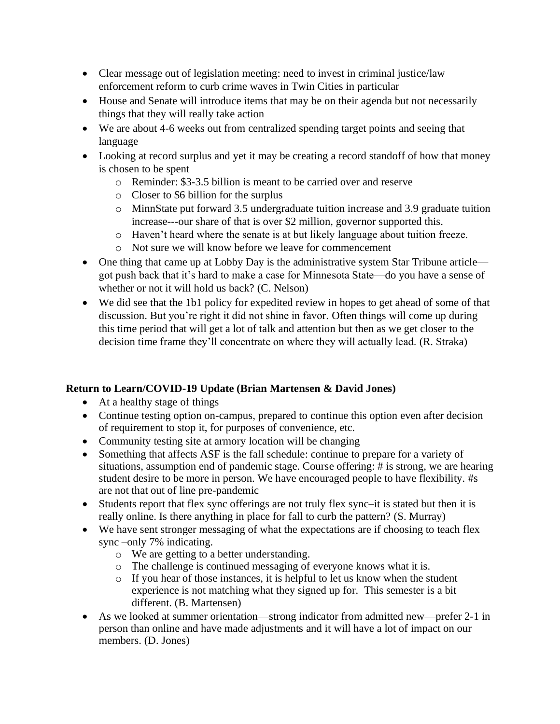- Clear message out of legislation meeting: need to invest in criminal justice/law enforcement reform to curb crime waves in Twin Cities in particular
- House and Senate will introduce items that may be on their agenda but not necessarily things that they will really take action
- We are about 4-6 weeks out from centralized spending target points and seeing that language
- Looking at record surplus and yet it may be creating a record standoff of how that money is chosen to be spent
	- o Reminder: \$3-3.5 billion is meant to be carried over and reserve
	- o Closer to \$6 billion for the surplus
	- o MinnState put forward 3.5 undergraduate tuition increase and 3.9 graduate tuition increase---our share of that is over \$2 million, governor supported this.
	- o Haven't heard where the senate is at but likely language about tuition freeze.
	- o Not sure we will know before we leave for commencement
- One thing that came up at Lobby Day is the administrative system Star Tribune article got push back that it's hard to make a case for Minnesota State—do you have a sense of whether or not it will hold us back? (C. Nelson)
- We did see that the 1b1 policy for expedited review in hopes to get ahead of some of that discussion. But you're right it did not shine in favor. Often things will come up during this time period that will get a lot of talk and attention but then as we get closer to the decision time frame they'll concentrate on where they will actually lead. (R. Straka)

### **Return to Learn/COVID-19 Update (Brian Martensen & David Jones)**

- At a healthy stage of things
- Continue testing option on-campus, prepared to continue this option even after decision of requirement to stop it, for purposes of convenience, etc.
- Community testing site at armory location will be changing
- Something that affects ASF is the fall schedule: continue to prepare for a variety of situations, assumption end of pandemic stage. Course offering: # is strong, we are hearing student desire to be more in person. We have encouraged people to have flexibility. #s are not that out of line pre-pandemic
- Students report that flex sync offerings are not truly flex sync–it is stated but then it is really online. Is there anything in place for fall to curb the pattern? (S. Murray)
- We have sent stronger messaging of what the expectations are if choosing to teach flex sync –only 7% indicating.
	- o We are getting to a better understanding.
	- o The challenge is continued messaging of everyone knows what it is.
	- o If you hear of those instances, it is helpful to let us know when the student experience is not matching what they signed up for. This semester is a bit different. (B. Martensen)
- As we looked at summer orientation—strong indicator from admitted new—prefer 2-1 in person than online and have made adjustments and it will have a lot of impact on our members. (D. Jones)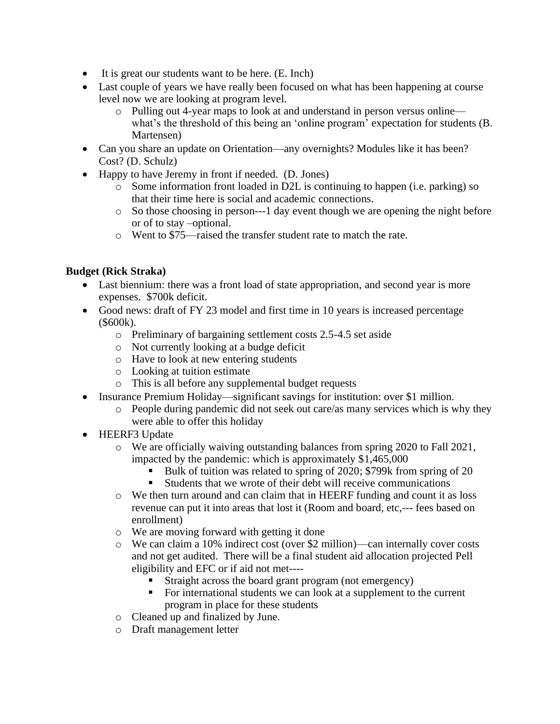- It is great our students want to be here. (E. Inch)
- Last couple of years we have really been focused on what has been happening at course level now we are looking at program level.
	- o Pulling out 4-year maps to look at and understand in person versus online what's the threshold of this being an 'online program' expectation for students (B. Martensen)
- Can you share an update on Orientation—any overnights? Modules like it has been? Cost? (D. Schulz)
- Happy to have Jeremy in front if needed. (D. Jones)
	- o Some information front loaded in D2L is continuing to happen (i.e. parking) so that their time here is social and academic connections.
	- o So those choosing in person---1 day event though we are opening the night before or of to stay –optional.
	- o Went to \$75—raised the transfer student rate to match the rate.

## **Budget (Rick Straka)**

- Last biennium: there was a front load of state appropriation, and second year is more expenses. \$700k deficit.
- Good news: draft of FY 23 model and first time in 10 years is increased percentage (\$600k).
	- o Preliminary of bargaining settlement costs 2.5-4.5 set aside
	- o Not currently looking at a budge deficit
	- o Have to look at new entering students
	- o Looking at tuition estimate
	- o This is all before any supplemental budget requests
- Insurance Premium Holiday—significant savings for institution: over \$1 million.
	- o People during pandemic did not seek out care/as many services which is why they were able to offer this holiday
- HEERF3 Update
	- o We are officially waiving outstanding balances from spring 2020 to Fall 2021, impacted by the pandemic: which is approximately \$1,465,000
		- Bulk of tuition was related to spring of 2020; \$799k from spring of 20
		- Students that we wrote of their debt will receive communications
	- o We then turn around and can claim that in HEERF funding and count it as loss revenue can put it into areas that lost it (Room and board, etc,--- fees based on enrollment)
	- o We are moving forward with getting it done
	- o We can claim a 10% indirect cost (over \$2 million)—can internally cover costs and not get audited. There will be a final student aid allocation projected Pell eligibility and EFC or if aid not met----
		- Straight across the board grant program (not emergency)
		- For international students we can look at a supplement to the current program in place for these students
	- o Cleaned up and finalized by June.
	- o Draft management letter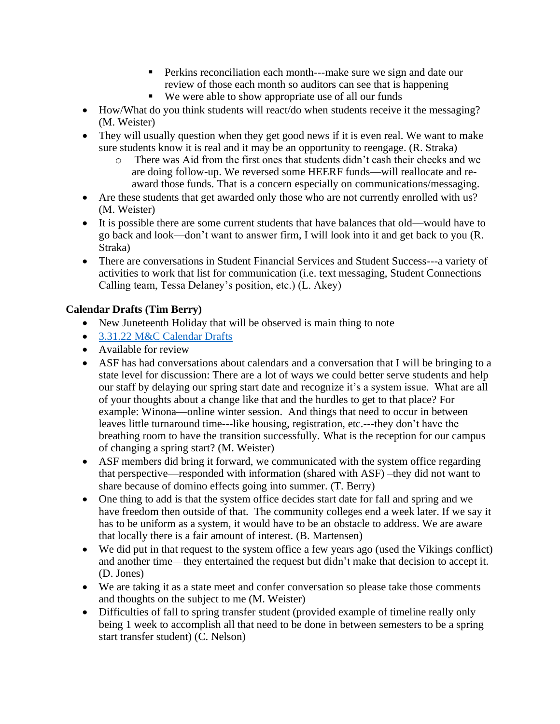- **•** Perkins reconciliation each month---make sure we sign and date our review of those each month so auditors can see that is happening
- We were able to show appropriate use of all our funds
- How/What do you think students will react/do when students receive it the messaging? (M. Weister)
- They will usually question when they get good news if it is even real. We want to make sure students know it is real and it may be an opportunity to reengage. (R. Straka)
	- o There was Aid from the first ones that students didn't cash their checks and we are doing follow-up. We reversed some HEERF funds—will reallocate and reaward those funds. That is a concern especially on communications/messaging.
- Are these students that get awarded only those who are not currently enrolled with us? (M. Weister)
- It is possible there are some current students that have balances that old—would have to go back and look—don't want to answer firm, I will look into it and get back to you (R. Straka)
- There are conversations in Student Financial Services and Student Success---a variety of activities to work that list for communication (i.e. text messaging, Student Connections Calling team, Tessa Delaney's position, etc.) (L. Akey)

### **Calendar Drafts (Tim Berry)**

- New Juneteenth Holiday that will be observed is main thing to note
- [3.31.22 M&C Calendar Drafts](https://mnscu-my.sharepoint.com/:u:/g/personal/dy6217wl_minnstate_edu/EYT9t7Hk_ThFhpEcvi8I9HkBtuyvMoj-o_759csAy0knKg?e=jYOVcG)
- Available for review
- ASF has had conversations about calendars and a conversation that I will be bringing to a state level for discussion: There are a lot of ways we could better serve students and help our staff by delaying our spring start date and recognize it's a system issue. What are all of your thoughts about a change like that and the hurdles to get to that place? For example: Winona—online winter session. And things that need to occur in between leaves little turnaround time---like housing, registration, etc.---they don't have the breathing room to have the transition successfully. What is the reception for our campus of changing a spring start? (M. Weister)
- ASF members did bring it forward, we communicated with the system office regarding that perspective—responded with information (shared with ASF) –they did not want to share because of domino effects going into summer. (T. Berry)
- One thing to add is that the system office decides start date for fall and spring and we have freedom then outside of that. The community colleges end a week later. If we say it has to be uniform as a system, it would have to be an obstacle to address. We are aware that locally there is a fair amount of interest. (B. Martensen)
- We did put in that request to the system office a few years ago (used the Vikings conflict) and another time—they entertained the request but didn't make that decision to accept it. (D. Jones)
- We are taking it as a state meet and confer conversation so please take those comments and thoughts on the subject to me (M. Weister)
- Difficulties of fall to spring transfer student (provided example of timeline really only being 1 week to accomplish all that need to be done in between semesters to be a spring start transfer student) (C. Nelson)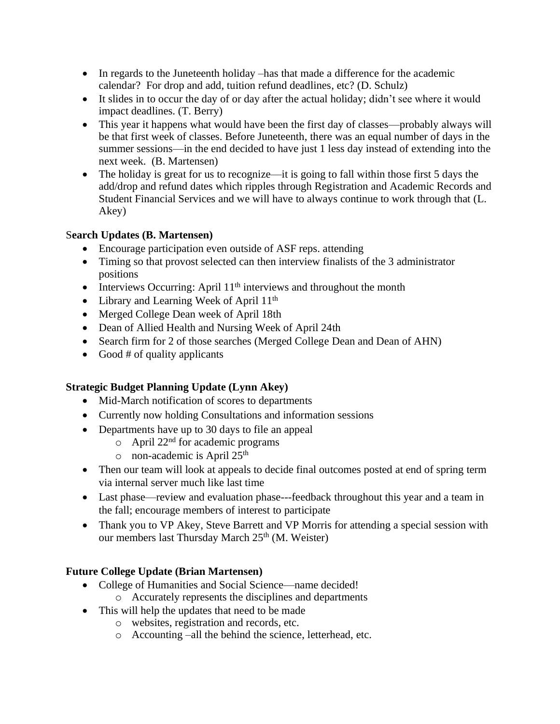- In regards to the Juneteenth holiday –has that made a difference for the academic calendar? For drop and add, tuition refund deadlines, etc? (D. Schulz)
- It slides in to occur the day of or day after the actual holiday; didn't see where it would impact deadlines. (T. Berry)
- This year it happens what would have been the first day of classes—probably always will be that first week of classes. Before Juneteenth, there was an equal number of days in the summer sessions—in the end decided to have just 1 less day instead of extending into the next week. (B. Martensen)
- The holiday is great for us to recognize—it is going to fall within those first 5 days the add/drop and refund dates which ripples through Registration and Academic Records and Student Financial Services and we will have to always continue to work through that (L. Akey)

## S**earch Updates (B. Martensen)**

- Encourage participation even outside of ASF reps. attending
- Timing so that provost selected can then interview finalists of the 3 administrator positions
- Interviews Occurring: April  $11<sup>th</sup>$  interviews and throughout the month
- Library and Learning Week of April  $11<sup>th</sup>$
- Merged College Dean week of April 18th
- Dean of Allied Health and Nursing Week of April 24th
- Search firm for 2 of those searches (Merged College Dean and Dean of AHN)
- Good # of quality applicants

### **Strategic Budget Planning Update (Lynn Akey)**

- Mid-March notification of scores to departments
- Currently now holding Consultations and information sessions
- Departments have up to 30 days to file an appeal
	- $\circ$  April 22<sup>nd</sup> for academic programs
	- o non-academic is April 25th
- Then our team will look at appeals to decide final outcomes posted at end of spring term via internal server much like last time
- Last phase—review and evaluation phase---feedback throughout this year and a team in the fall; encourage members of interest to participate
- Thank you to VP Akey, Steve Barrett and VP Morris for attending a special session with our members last Thursday March  $25<sup>th</sup>$  (M. Weister)

## **Future College Update (Brian Martensen)**

- College of Humanities and Social Science—name decided!
	- o Accurately represents the disciplines and departments
- This will help the updates that need to be made
	- o websites, registration and records, etc.
	- o Accounting –all the behind the science, letterhead, etc.